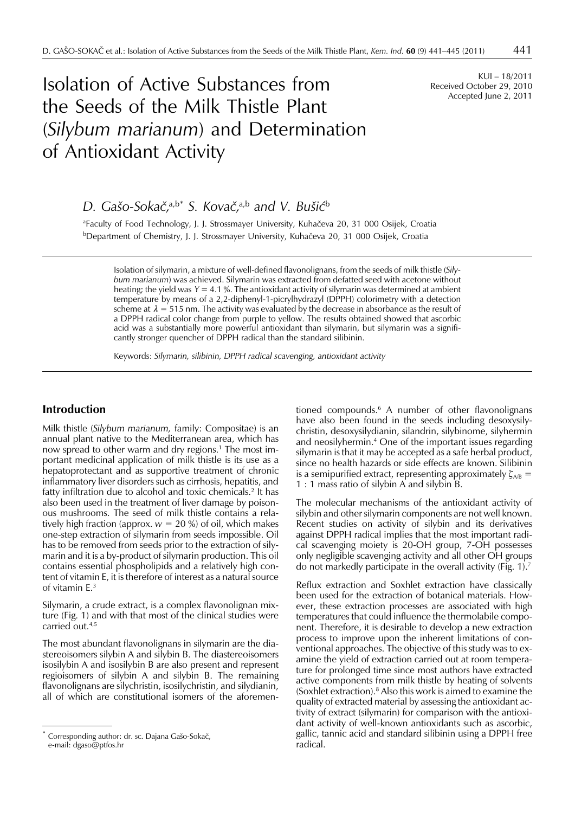# Isolation of Active Substances from the Seeds of the Milk Thistle Plant (*Silybum marianum*) and Determination of Antioxidant Activity

KUI – 18/2011 Received October 29, 2010 Accepted June 2, 2011

*D. Gašo-Sokaè,*a,b\* *S. Kovaè,*a,b *and V. Bušiæ*<sup>b</sup>

<sup>a</sup>Faculty of Food Technology, J. J. Strossmayer University, Kuhačeva 20, 31 000 Osijek, Croatia <sup>b</sup>Department of Chemistry, J. J. Strossmayer University, Kuhačeva 20, 31 000 Osijek, Croatia

Isolation of silymarin, a mixture of well-defined flavonolignans, from the seeds of milk thistle (*Silybum marianum*) was achieved. Silymarin was extracted from defatted seed with acetone without heating; the yield was  $Y = 4.1$  %. The antioxidant activity of silymarin was determined at ambient temperature by means of a 2,2-diphenyl-1-picrylhydrazyl (DPPH) colorimetry with a detection scheme at  $\lambda = 515$  nm. The activity was evaluated by the decrease in absorbance as the result of a DPPH radical color change from purple to yellow. The results obtained showed that ascorbic acid was a substantially more powerful antioxidant than silymarin, but silymarin was a significantly stronger quencher of DPPH radical than the standard silibinin.

Keywords: *Silymarin, silibinin, DPPH radical scavenging, antioxidant activity*

## **Introduction**

Milk thistle (*Silybum marianum,* family: Compositae) is an annual plant native to the Mediterranean area, which has now spread to other warm and dry regions.<sup>1</sup> The most important medicinal application of milk thistle is its use as a hepatoprotectant and as supportive treatment of chronic inflammatory liver disorders such as cirrhosis, hepatitis, and fatty infiltration due to alcohol and toxic chemicals.2 It has also been used in the treatment of liver damage by poisonous mushrooms. The seed of milk thistle contains a relatively high fraction (approx.  $w = 20$  %) of oil, which makes one-step extraction of silymarin from seeds impossible. Oil has to be removed from seeds prior to the extraction of silymarin and it is a by-product of silymarin production. This oil contains essential phospholipids and a relatively high content of vitamin E, it is therefore of interest as a natural source of vitamin E.3

Silymarin, a crude extract, is a complex flavonolignan mixture (Fig. 1) and with that most of the clinical studies were carried out.<sup>4,5</sup>

The most abundant flavonolignans in silymarin are the diastereoisomers silybin A and silybin B. The diastereoisomers isosilybin A and isosilybin B are also present and represent regioisomers of silybin A and silybin B. The remaining flavonolignans are silychristin, isosilychristin, and silydianin, all of which are constitutional isomers of the aforemen-

tioned compounds.6 A number of other flavonolignans have also been found in the seeds including desoxysilychristin, desoxysilydianin, silandrin, silybinome, silyhermin and neosilyhermin.4 One of the important issues regarding silymarin is that it may be accepted as a safe herbal product, since no health hazards or side effects are known. Silibinin is a semipurified extract, representing approximately  $\zeta_{AB}$  = 1 : 1 mass ratio of silybin A and silybin B.

The molecular mechanisms of the antioxidant activity of silybin and other silymarin components are not well known. Recent studies on activity of silybin and its derivatives against DPPH radical implies that the most important radical scavenging moiety is 20-OH group, 7-OH possesses only negligible scavenging activity and all other OH groups do not markedly participate in the overall activity (Fig. 1).7

Reflux extraction and Soxhlet extraction have classically been used for the extraction of botanical materials. However, these extraction processes are associated with high temperatures that could influence the thermolabile component. Therefore, it is desirable to develop a new extraction process to improve upon the inherent limitations of conventional approaches. The objective of this study was to examine the yield of extraction carried out at room temperature for prolonged time since most authors have extracted active components from milk thistle by heating of solvents (Soxhlet extraction).8 Also this work is aimed to examine the quality of extracted material by assessing the antioxidant activity of extract (silymarin) for comparison with the antioxidant activity of well-known antioxidants such as ascorbic, gallic, tannic acid and standard silibinin using a DPPH free radical.

Corresponding author: dr. sc. Dajana Gašo-Sokač, e-mail: dgaso@ptfos.hr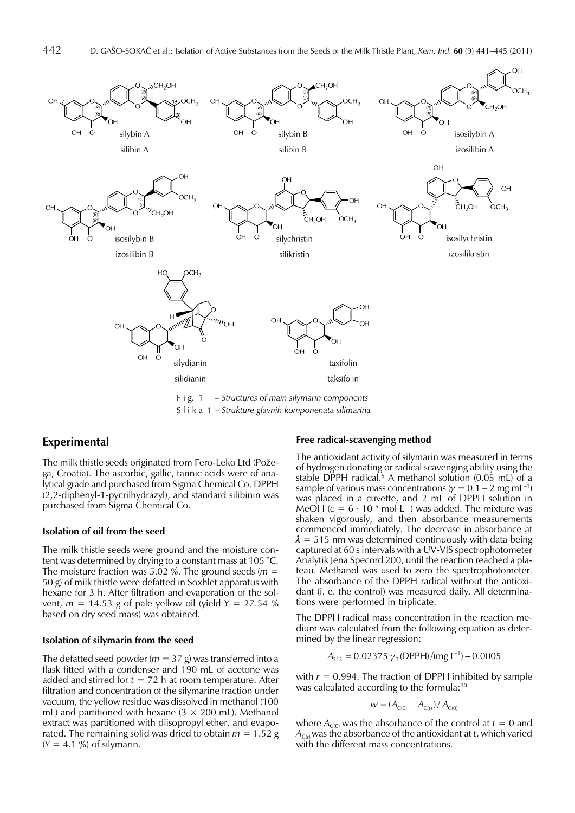

Slika 1– *Strukture glavnih komponenata silimarina*

## **Experimental**

The milk thistle seeds originated from Fero-Leko Ltd (Požega, Croatia). The ascorbic, gallic, tannic acids were of analytical grade and purchased from Sigma Chemical Co. DPPH (2,2-diphenyl-1-pycrilhydrazyl), and standard silibinin was purchased from Sigma Chemical Co.

#### **Isolation of oil from the seed**

The milk thistle seeds were ground and the moisture content was determined by drying to a constant mass at 105 °C. The moisture fraction was 5.02 %. The ground seeds (*m* = 50 g) of milk thistle were defatted in Soxhlet apparatus with hexane for 3 h. After filtration and evaporation of the solvent, *m* = 14.53 g of pale yellow oil (yield *Y* = 27.54 % based on dry seed mass) was obtained.

#### **Isolation of silymarin from the seed**

The defatted seed powder ( $m = 37$  g) was transferred into a flask fitted with a condenser and 190 mL of acetone was added and stirred for  $t = 72$  h at room temperature. After filtration and concentration of the silymarine fraction under vacuum, the yellow residue was dissolved in methanol (100 mL) and partitioned with hexane  $(3 \times 200$  mL). Methanol extract was partitioned with diisopropyl ether, and evaporated. The remaining solid was dried to obtain  $m = 1.52$  g  $(Y = 4.1 \%)$  of silymarin.

#### **Free radical-scavenging method**

The antioxidant activity of silymarin was measured in terms of hydrogen donating or radical scavenging ability using the stable DPPH radical.<sup>9</sup> A methanol solution  $(0.05 \text{ mL})$  of a sample of various mass concentrations ( $\gamma = 0.1 - 2$  mg mL<sup>-1</sup>) was placed in a cuvette, and 2 mL of DPPH solution in MeOH  $(c = 6 \cdot 10^{-5}$  mol L<sup>-1</sup>) was added. The mixture was shaken vigorously, and then absorbance measurements commenced immediately. The decrease in absorbance at  $\lambda = 515$  nm was determined continuously with data being captured at 60 s intervals with a UV-VIS spectrophotometer Analytik Jena Specord 200, until the reaction reached a plateau. Methanol was used to zero the spectrophotometer. The absorbance of the DPPH radical without the antioxidant (i. e. the control) was measured daily. All determinations were performed in triplicate.

The DPPH radical mass concentration in the reaction medium was calculated from the following equation as determined by the linear regression:

$$
A_{515} = 0.02375 \gamma_T (DPPH) / (mg L^{-1}) - 0.0005
$$

with  $r = 0.994$ . The fraction of DPPH inhibited by sample was calculated according to the formula:10

$$
w = (A_{C(0)} - A_{C(t)}) / A_{C(0)}
$$

where  $A_{C(0)}$  was the absorbance of the control at  $t = 0$  and  $A_{C(t)}$  was the absorbance of the antioxidant at *t*, which varied with the different mass concentrations.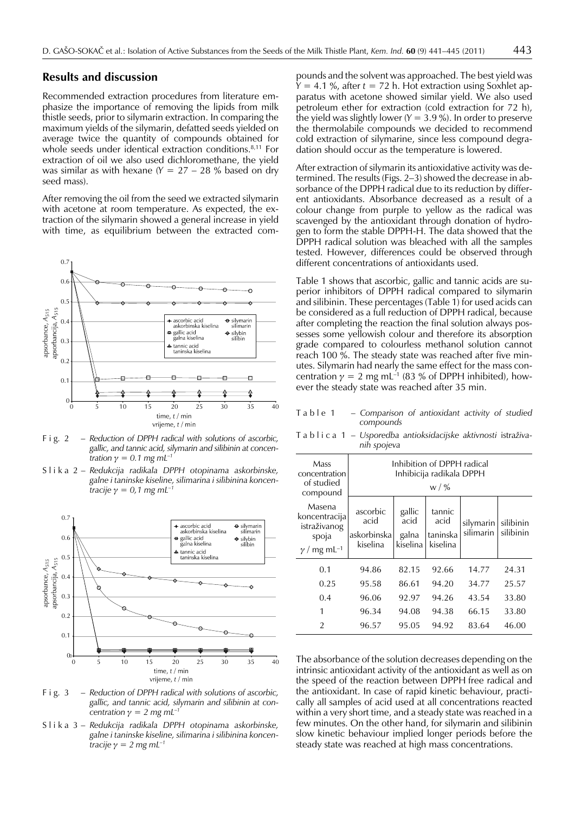#### **Results and discussion**

Recommended extraction procedures from literature emphasize the importance of removing the lipids from milk thistle seeds, prior to silymarin extraction. In comparing the maximum yields of the silymarin, defatted seeds yielded on average twice the quantity of compounds obtained for whole seeds under identical extraction conditions.<sup>8,11</sup> For extraction of oil we also used dichloromethane, the yield was similar as with hexane (*Y* = 27 – 28 % based on dry seed mass).

After removing the oil from the seed we extracted silymarin with acetone at room temperature. As expected, the extraction of the silymarin showed a general increase in yield with time, as equilibrium between the extracted com-



F i g. 2 *– Reduction of DPPH radical with solutions of ascorbic, gallic, and tannic acid, silymarin and silibinin at concentration*  $\gamma = 0.1$  *mg mL<sup>-1</sup>* 

Slika 2– *Redukcija radikala DPPH otopinama askorbinske, galne i taninske kiseline, silimarina i silibinina koncentracije*  $\gamma = 0.1$  *mg mL<sup>-1</sup>* 



F i g. 3 *– Reduction of DPPH radical with solutions of ascorbic, gallic, and tannic acid, silymarin and silibinin at concentration*  $\gamma = 2$  *mg*  $mL^{-1}$ 

Slika 3 *– Redukcija radikala DPPH otopinama askorbinske, galne i taninske kiseline, silimarina i silibinina koncentracije*  $\gamma = 2$  *mg mL<sup>-1</sup>* 

pounds and the solvent was approached. The best yield was *Y* = 4.1 %, after *t* = 72 h. Hot extraction using Soxhlet apparatus with acetone showed similar yield. We also used petroleum ether for extraction (cold extraction for 72 h), the yield was slightly lower (*Y* = 3.9 %). In order to preserve the thermolabile compounds we decided to recommend cold extraction of silymarine, since less compound degradation should occur as the temperature is lowered.

After extraction of silymarin its antioxidative activity was determined. The results (Figs. 2–3) showed the decrease in absorbance of the DPPH radical due to its reduction by different antioxidants. Absorbance decreased as a result of a colour change from purple to yellow as the radical was scavenged by the antioxidant through donation of hydrogen to form the stable DPPH-H. The data showed that the DPPH radical solution was bleached with all the samples tested. However, differences could be observed through different concentrations of antioxidants used.

Table 1 shows that ascorbic, gallic and tannic acids are superior inhibitors of DPPH radical compared to silymarin and silibinin. These percentages (Table 1) for used acids can be considered as a full reduction of DPPH radical, because after completing the reaction the final solution always possesses some yellowish colour and therefore its absorption grade compared to colourless methanol solution cannot reach 100 %. The steady state was reached after five minutes. Silymarin had nearly the same effect for the mass concentration  $y = 2$  mg mL<sup>-1</sup> (83 % of DPPH inhibited), however the steady state was reached after 35 min.

Table 1 – *Comparison of antioxidant activity of studied compounds*

Tablica 1 – Usporedba antioksidacijske aktivnosti istraživa*nih spojeva*

| Mass<br>concentration<br>of studied<br>compound                                    | Inhibition of DPPH radical<br>Inhibicija radikala DPPH<br>w / % |                                     |                                        |                        |                        |  |
|------------------------------------------------------------------------------------|-----------------------------------------------------------------|-------------------------------------|----------------------------------------|------------------------|------------------------|--|
| Masena<br>koncentracija<br>istraživanog<br>spoja<br>$\gamma$ / mg mL <sup>-1</sup> | ascorbic<br>acid<br>askorbinska<br>kiselina                     | gallic<br>acid<br>galna<br>kiselina | tannic<br>acid<br>taninska<br>kiselina | silymarin<br>silimarin | silibinin<br>silibinin |  |
| 0.1                                                                                | 94.86                                                           | 82.15                               | 92.66                                  | 14.77                  | 24.31                  |  |
| 0.25                                                                               | 95.58                                                           | 86.61                               | 94.20                                  | 34.77                  | 25.57                  |  |
| 0.4                                                                                | 96.06                                                           | 92.97                               | 94.26                                  | 43.54                  | 33.80                  |  |
| 1                                                                                  | 96.34                                                           | 94.08                               | 94.38                                  | 66.15                  | 33.80                  |  |
| $\mathfrak{D}$                                                                     | 96.57                                                           | 95.05                               | 94.92                                  | 83.64                  | 46.00                  |  |

The absorbance of the solution decreases depending on the intrinsic antioxidant activity of the antioxidant as well as on the speed of the reaction between DPPH free radical and the antioxidant. In case of rapid kinetic behaviour, practically all samples of acid used at all concentrations reacted within a very short time, and a steady state was reached in a few minutes. On the other hand, for silymarin and silibinin slow kinetic behaviour implied longer periods before the steady state was reached at high mass concentrations.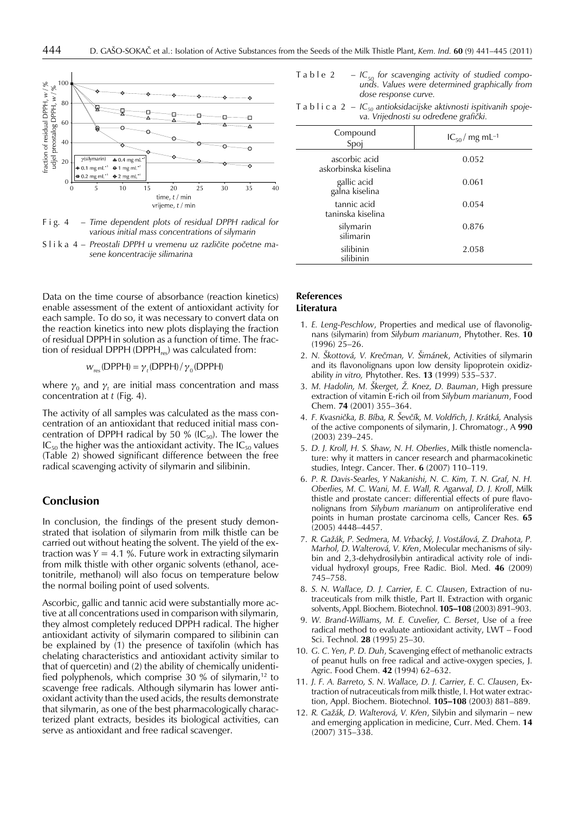

F i g. 4 – *Time dependent plots of residual DPPH radical for various initial mass concentrations of silymarin*

Slika 4 - Preostali DPPH u vremenu uz različite početne ma*sene koncentracije silimarina*

Data on the time course of absorbance (reaction kinetics) enable assessment of the extent of antioxidant activity for each sample. To do so, it was necessary to convert data on the reaction kinetics into new plots displaying the fraction of residual DPPH in solution as a function of time. The fraction of residual DPPH (DPPH $_{res}$ ) was calculated from:

$$
W_{\text{res}}(\text{DPPH}) = \gamma_t(\text{DPPH}) / \gamma_0(\text{DPPH})
$$

where  $\gamma_0$  and  $\gamma_t$  are initial mass concentration and mass concentration at *t* (Fig. 4).

The activity of all samples was calculated as the mass concentration of an antioxidant that reduced initial mass concentration of DPPH radical by 50 % ( $IC_{50}$ ). The lower the  $IC_{50}$  the higher was the antioxidant activity. The  $IC_{50}$  values (Table 2) showed significant difference between the free radical scavenging activity of silymarin and silibinin.

## **Conclusion**

In conclusion, the findings of the present study demonstrated that isolation of silymarin from milk thistle can be carried out without heating the solvent. The yield of the extraction was  $Y = 4.1$  %. Future work in extracting silymarin from milk thistle with other organic solvents (ethanol, acetonitrile, methanol) will also focus on temperature below the normal boiling point of used solvents.

Ascorbic, gallic and tannic acid were substantially more active at all concentrations used in comparison with silymarin, they almost completely reduced DPPH radical. The higher antioxidant activity of silymarin compared to silibinin can be explained by (1) the presence of taxifolin (which has chelating characteristics and antioxidant activity similar to that of quercetin) and (2) the ability of chemically unidentified polyphenols, which comprise 30 % of silymarin,<sup>12</sup> to scavenge free radicals. Although silymarin has lower antioxidant activity than the used acids, the results demonstrate that silymarin, as one of the best pharmacologically characterized plant extracts, besides its biological activities, can serve as antioxidant and free radical scavenger.

- Table 2  $-C_{50}$  for scavenging activity of studied compo*unds. Values were determined graphically from dose response curve.*
- Tablica 2 *IC50 antioksidacijske aktivnosti ispitivanih spojeva. Vrijednosti su odreðene grafièki.*

| Compound<br>Spoj                      | $IC_{50}/mg$ mL <sup>-1</sup> |
|---------------------------------------|-------------------------------|
| ascorbic acid<br>askorbinska kiselina | 0.052                         |
| gallic acid<br>galna kiselina         | 0.061                         |
| tannic acid<br>taninska kiselina      | 0.054                         |
| silymarin<br>silimarin                | 0.876                         |
| silibinin<br>silibinin                | 2.058                         |

## **References**

#### **Literatura**

- 1. *E. Leng-Peschlow*, Properties and medical use of flavonolignans (silymarin) from *Silybum marianum*, Phytother. Res. **10**  $(1996)$   $25-26$ .
- 2. *N. Škottová, V. Kreèman, V. Šimánek*, Activities of silymarin and its flavonolignans upon low density lipoprotein oxidizability *in vitro,* Phytother. Res. **13** (1999) 535–537.
- 3. *M. Hadolin, M. Škerget, Ý. Knez, D. Bauman*, High pressure extraction of vitamin E-rich oil from *Silybum marianum*, Food Chem. **74** (2001) 355–364.
- 4. *F. Kvasnièka, B. Bíba, R. Ševèík, M. Voldøich, J. Krátká,* Analysis of the active components of silymarin, J. Chromatogr., A **990** (2003) 239–245.
- 5. *D. J. Kroll, H. S. Shaw, N. H. Oberlies*, Milk thistle nomenclature: why it matters in cancer research and pharmacokinetic studies, Integr. Cancer. Ther. **6** (2007) 110–119.
- 6. *P. R. Davis-Searles, Y Nakanishi, N. C. Kim, T. N. Graf, N. H. Oberlies, M. C. Wani, M. E. Wall, R. Agarwal, D. J. Kroll*, Milk thistle and prostate cancer: differential effects of pure flavonolignans from *Silybum marianum* on antiproliferative end points in human prostate carcinoma cells, Cancer Res. **65** (2005) 4448–4457.
- 7. *R. GaÞák, P. Sedmera, M. Vrbacký, J. Vostálová, Z. Drahota, P. Marhol, D. Walterová, V. Køen*, Molecular mechanisms of silybin and 2,3-dehydrosilybin antiradical activity role of individual hydroxyl groups, Free Radic. Biol. Med. **46** (2009) 745–758.
- 8. *S. N. Wallace, D. J. Carrier, E. C. Clausen*, Extraction of nutraceuticals from milk thistle, Part II. Extraction with organic solvents, Appl. Biochem. Biotechnol. **105–108** (2003) 891–903.
- 9. *W. Brand-Williams, M. E. Cuvelier, C. Berset*, Use of a free radical method to evaluate antioxidant activity, LWT – Food Sci. Technol. **28** (1995) 25–30.
- 10. *G. C. Yen, P. D. Duh*, Scavenging effect of methanolic extracts of peanut hulls on free radical and active-oxygen species, J. Agric. Food Chem. **42** (1994) 62–632.
- 11. *J. F. A. Barreto, S. N. Wallace, D. J. Carrier, E. C. Clausen*, Extraction of nutraceuticals from milk thistle, I. Hot water extraction, Appl. Biochem. Biotechnol. **105–108** (2003) 881–889.
- 12. *R. Gažák, D. Walterová, V. Křen, Silybin and silymarin new* and emerging application in medicine, Curr. Med. Chem. **14** (2007) 315–338.